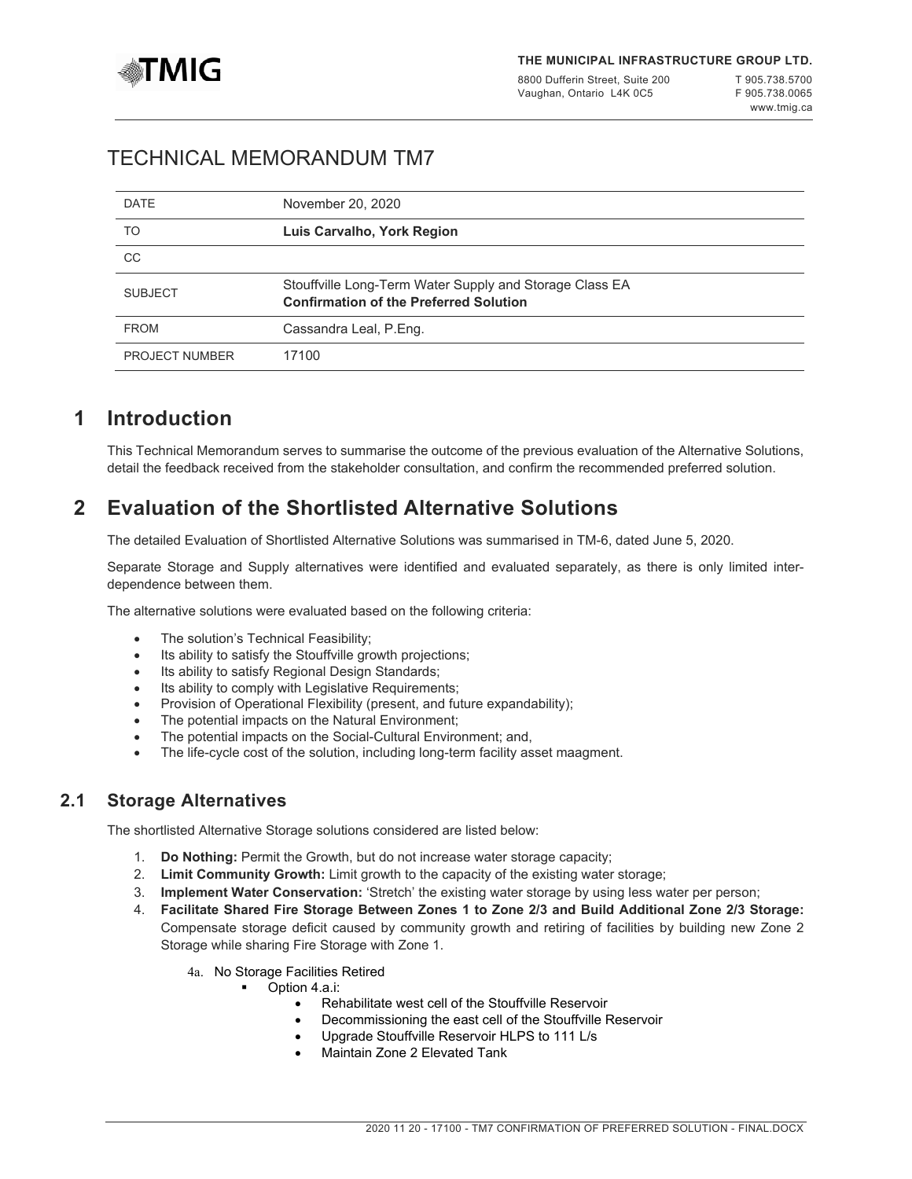

8800 Dufferin Street, Suite 200 Vaughan, Ontario L4K 0C5

# TECHNICAL MEMORANDUM TM7

| <b>DATE</b>           | November 20, 2020                                                                                        |
|-----------------------|----------------------------------------------------------------------------------------------------------|
| TO                    | Luis Carvalho, York Region                                                                               |
| CC                    |                                                                                                          |
| <b>SUBJECT</b>        | Stouffville Long-Term Water Supply and Storage Class EA<br><b>Confirmation of the Preferred Solution</b> |
| <b>FROM</b>           | Cassandra Leal, P.Eng.                                                                                   |
| <b>PROJECT NUMBER</b> | 17100                                                                                                    |

# **1 Introduction**

This Technical Memorandum serves to summarise the outcome of the previous evaluation of the Alternative Solutions, detail the feedback received from the stakeholder consultation, and confirm the recommended preferred solution.

# **2 Evaluation of the Shortlisted Alternative Solutions**

The detailed Evaluation of Shortlisted Alternative Solutions was summarised in TM-6, dated June 5, 2020.

Separate Storage and Supply alternatives were identified and evaluated separately, as there is only limited interdependence between them.

The alternative solutions were evaluated based on the following criteria:

- The solution's Technical Feasibility;
- Its ability to satisfy the Stouffville growth projections;
- Its ability to satisfy Regional Design Standards;
- Its ability to comply with Legislative Requirements;
- Provision of Operational Flexibility (present, and future expandability);
- The potential impacts on the Natural Environment;
- The potential impacts on the Social-Cultural Environment; and,
- The life-cycle cost of the solution, including long-term facility asset maagment.

### **2.1 Storage Alternatives**

The shortlisted Alternative Storage solutions considered are listed below:

- 1. **Do Nothing:** Permit the Growth, but do not increase water storage capacity;
- 2. **Limit Community Growth:** Limit growth to the capacity of the existing water storage;
- 3. **Implement Water Conservation:** 'Stretch' the existing water storage by using less water per person;
- 4. **Facilitate Shared Fire Storage Between Zones 1 to Zone 2/3 and Build Additional Zone 2/3 Storage:** Compensate storage deficit caused by community growth and retiring of facilities by building new Zone 2 Storage while sharing Fire Storage with Zone 1.
	- 4a. No Storage Facilities Retired
		- Option 4.a.i:
			- Rehabilitate west cell of the Stouffville Reservoir
			- Decommissioning the east cell of the Stouffville Reservoir
			- Upgrade Stouffville Reservoir HLPS to 111 L/s
			- Maintain Zone 2 Elevated Tank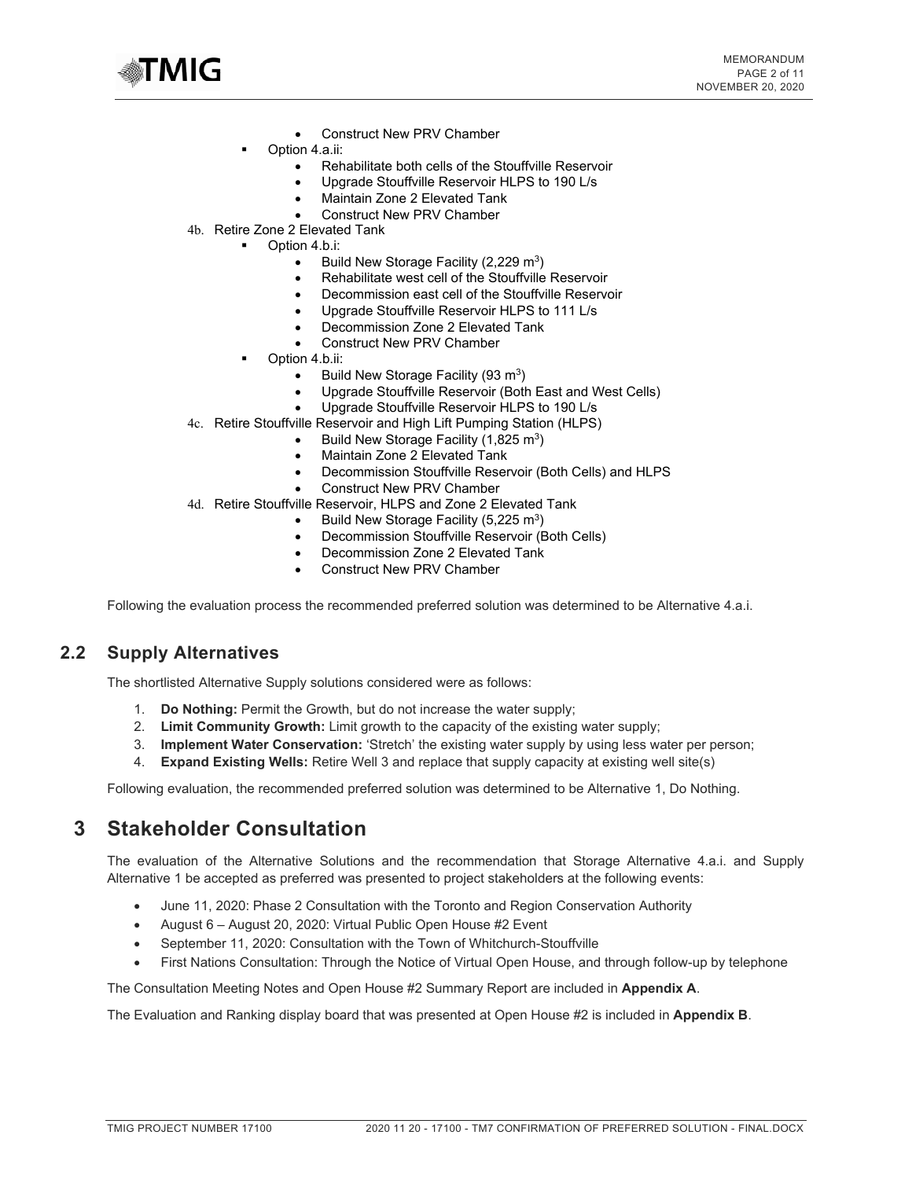

- Construct New PRV Chamber
- Option 4.a.ii:
	- Rehabilitate both cells of the Stouffville Reservoir
	- Upgrade Stouffville Reservoir HLPS to 190 L/s
	- Maintain Zone 2 Elevated Tank
	- Construct New PRV Chamber
- 4b. Retire Zone 2 Elevated Tank
	- Option 4.b.i:
		- Build New Storage Facility (2,229 m<sup>3</sup>)
		- Rehabilitate west cell of the Stouffville Reservoir
		- Decommission east cell of the Stouffville Reservoir
		- Upgrade Stouffville Reservoir HLPS to 111 L/s
		- Decommission Zone 2 Elevated Tank
		- Construct New PRV Chamber
	- Option 4.b.ii:
		- Build New Storage Facility (93 m<sup>3</sup>)
		- Upgrade Stouffville Reservoir (Both East and West Cells)
		- Upgrade Stouffville Reservoir HLPS to 190 L/s
- 4c. Retire Stouffville Reservoir and High Lift Pumping Station (HLPS)
	- Build New Storage Facility (1,825 m<sup>3</sup>)
	- Maintain Zone 2 Elevated Tank
	- Decommission Stouffville Reservoir (Both Cells) and HLPS
	- Construct New PRV Chamber
- 4d. Retire Stouffville Reservoir, HLPS and Zone 2 Elevated Tank
	- Build New Storage Facility  $(5,225 \text{ m}^3)$
	- Decommission Stouffville Reservoir (Both Cells)
	- Decommission Zone 2 Elevated Tank
	- Construct New PRV Chamber

Following the evaluation process the recommended preferred solution was determined to be Alternative 4.a.i.

### **2.2 Supply Alternatives**

The shortlisted Alternative Supply solutions considered were as follows:

- 1. **Do Nothing:** Permit the Growth, but do not increase the water supply;
- 2. **Limit Community Growth:** Limit growth to the capacity of the existing water supply;
- 3. **Implement Water Conservation:** 'Stretch' the existing water supply by using less water per person;
- 4. **Expand Existing Wells:** Retire Well 3 and replace that supply capacity at existing well site(s)

Following evaluation, the recommended preferred solution was determined to be Alternative 1, Do Nothing.

## **3 Stakeholder Consultation**

The evaluation of the Alternative Solutions and the recommendation that Storage Alternative 4.a.i. and Supply Alternative 1 be accepted as preferred was presented to project stakeholders at the following events:

- June 11, 2020: Phase 2 Consultation with the Toronto and Region Conservation Authority
- August 6 August 20, 2020: Virtual Public Open House #2 Event
- September 11, 2020: Consultation with the Town of Whitchurch-Stouffville
- First Nations Consultation: Through the Notice of Virtual Open House, and through follow-up by telephone

The Consultation Meeting Notes and Open House #2 Summary Report are included in **Appendix A**.

The Evaluation and Ranking display board that was presented at Open House #2 is included in **Appendix B**.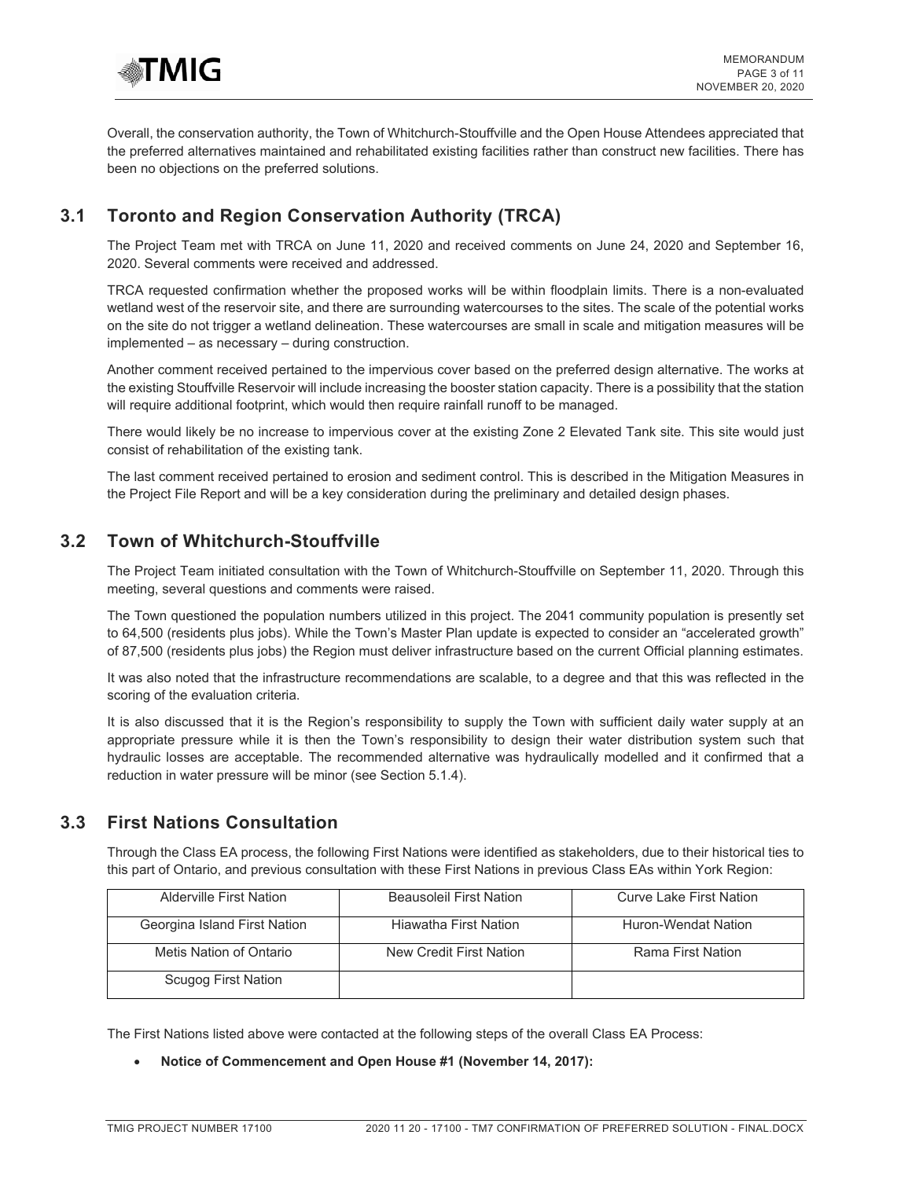

Overall, the conservation authority, the Town of Whitchurch-Stouffville and the Open House Attendees appreciated that the preferred alternatives maintained and rehabilitated existing facilities rather than construct new facilities. There has been no objections on the preferred solutions.

## **3.1 Toronto and Region Conservation Authority (TRCA)**

The Project Team met with TRCA on June 11, 2020 and received comments on June 24, 2020 and September 16, 2020. Several comments were received and addressed.

TRCA requested confirmation whether the proposed works will be within floodplain limits. There is a non-evaluated wetland west of the reservoir site, and there are surrounding watercourses to the sites. The scale of the potential works on the site do not trigger a wetland delineation. These watercourses are small in scale and mitigation measures will be implemented – as necessary – during construction.

Another comment received pertained to the impervious cover based on the preferred design alternative. The works at the existing Stouffville Reservoir will include increasing the booster station capacity. There is a possibility that the station will require additional footprint, which would then require rainfall runoff to be managed.

There would likely be no increase to impervious cover at the existing Zone 2 Elevated Tank site. This site would just consist of rehabilitation of the existing tank.

The last comment received pertained to erosion and sediment control. This is described in the Mitigation Measures in the Project File Report and will be a key consideration during the preliminary and detailed design phases.

## **3.2 Town of Whitchurch-Stouffville**

The Project Team initiated consultation with the Town of Whitchurch-Stouffville on September 11, 2020. Through this meeting, several questions and comments were raised.

The Town questioned the population numbers utilized in this project. The 2041 community population is presently set to 64,500 (residents plus jobs). While the Town's Master Plan update is expected to consider an "accelerated growth" of 87,500 (residents plus jobs) the Region must deliver infrastructure based on the current Official planning estimates.

It was also noted that the infrastructure recommendations are scalable, to a degree and that this was reflected in the scoring of the evaluation criteria.

It is also discussed that it is the Region's responsibility to supply the Town with sufficient daily water supply at an appropriate pressure while it is then the Town's responsibility to design their water distribution system such that hydraulic losses are acceptable. The recommended alternative was hydraulically modelled and it confirmed that a reduction in water pressure will be minor (see Section 5.1.4).

## **3.3 First Nations Consultation**

Through the Class EA process, the following First Nations were identified as stakeholders, due to their historical ties to this part of Ontario, and previous consultation with these First Nations in previous Class EAs within York Region:

| Alderville First Nation      | <b>Beausoleil First Nation</b> | <b>Curve Lake First Nation</b> |
|------------------------------|--------------------------------|--------------------------------|
| Georgina Island First Nation | Hiawatha First Nation          | Huron-Wendat Nation            |
| Metis Nation of Ontario      | New Credit First Nation        | Rama First Nation              |
| Scugog First Nation          |                                |                                |

The First Nations listed above were contacted at the following steps of the overall Class EA Process:

• **Notice of Commencement and Open House #1 (November 14, 2017):**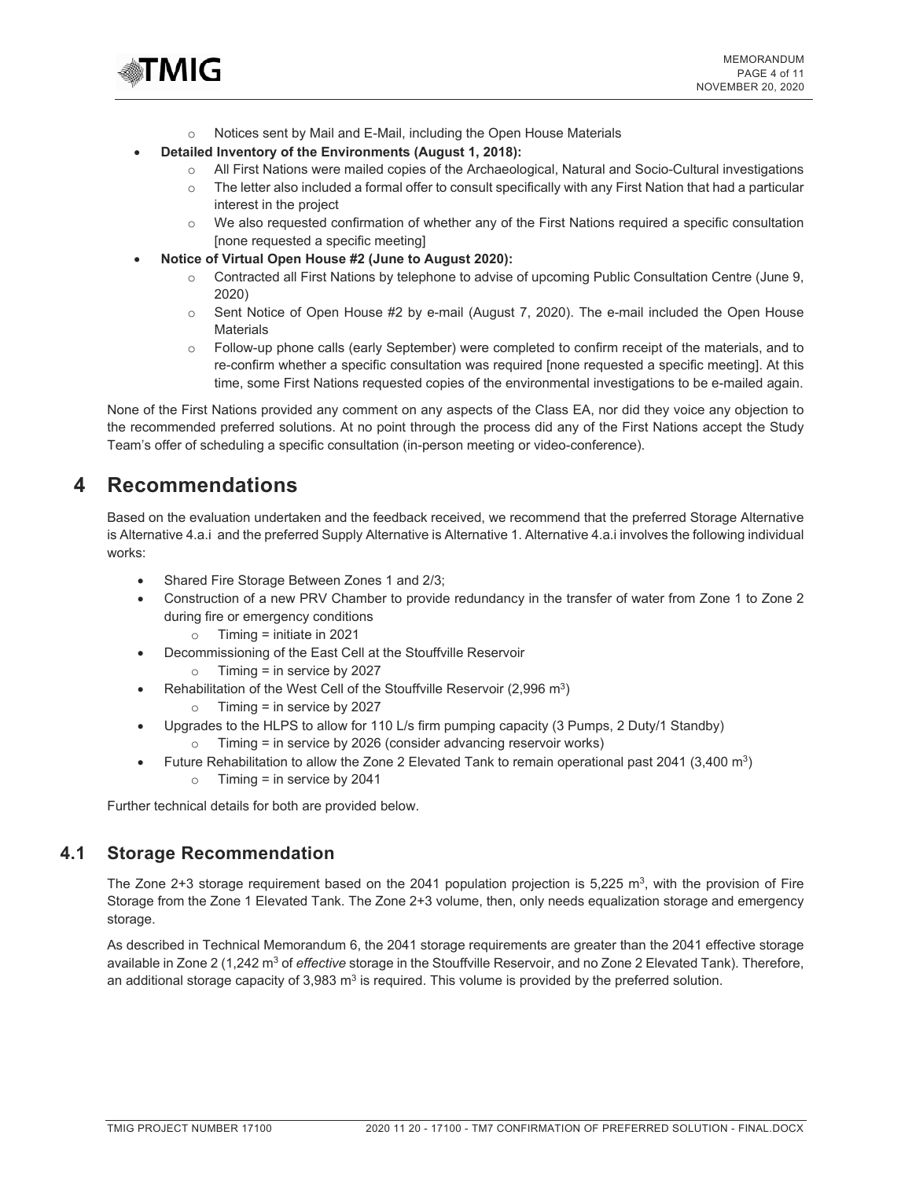

- o Notices sent by Mail and E-Mail, including the Open House Materials
- **Detailed Inventory of the Environments (August 1, 2018):** 
	- o All First Nations were mailed copies of the Archaeological, Natural and Socio-Cultural investigations
	- $\circ$  The letter also included a formal offer to consult specifically with any First Nation that had a particular interest in the project
	- $\circ$  We also requested confirmation of whether any of the First Nations required a specific consultation [none requested a specific meeting]
- **Notice of Virtual Open House #2 (June to August 2020):** 
	- o Contracted all First Nations by telephone to advise of upcoming Public Consultation Centre (June 9, 2020)
	- $\circ$  Sent Notice of Open House #2 by e-mail (August 7, 2020). The e-mail included the Open House **Materials**
	- o Follow-up phone calls (early September) were completed to confirm receipt of the materials, and to re-confirm whether a specific consultation was required [none requested a specific meeting]. At this time, some First Nations requested copies of the environmental investigations to be e-mailed again.

None of the First Nations provided any comment on any aspects of the Class EA, nor did they voice any objection to the recommended preferred solutions. At no point through the process did any of the First Nations accept the Study Team's offer of scheduling a specific consultation (in-person meeting or video-conference).

## **4 Recommendations**

Based on the evaluation undertaken and the feedback received, we recommend that the preferred Storage Alternative is Alternative 4.a.i and the preferred Supply Alternative is Alternative 1. Alternative 4.a.i involves the following individual works:

- Shared Fire Storage Between Zones 1 and 2/3;
- Construction of a new PRV Chamber to provide redundancy in the transfer of water from Zone 1 to Zone 2 during fire or emergency conditions
	- o Timing = initiate in 2021
- Decommissioning of the East Cell at the Stouffville Reservoir
	- o Timing = in service by 2027
- Rehabilitation of the West Cell of the Stouffville Reservoir (2,996 m<sup>3</sup>)
	- o Timing = in service by 2027
- Upgrades to the HLPS to allow for 110 L/s firm pumping capacity (3 Pumps, 2 Duty/1 Standby)
	- o Timing = in service by 2026 (consider advancing reservoir works)
- o Timing = in service by 2041 • Future Rehabilitation to allow the Zone 2 Elevated Tank to remain operational past 2041 (3,400 m3)

Further technical details for both are provided below.

## **4.1 Storage Recommendation**

The Zone 2+3 storage requirement based on the 2041 population projection is  $5,225 \text{ m}^3$ , with the provision of Fire Storage from the Zone 1 Elevated Tank. The Zone 2+3 volume, then, only needs equalization storage and emergency storage.

As described in Technical Memorandum 6, the 2041 storage requirements are greater than the 2041 effective storage available in Zone 2 (1,242 m<sup>3</sup> of *effective* storage in the Stouffville Reservoir, and no Zone 2 Elevated Tank). Therefore, an additional storage capacity of  $3,983$  m<sup>3</sup> is required. This volume is provided by the preferred solution.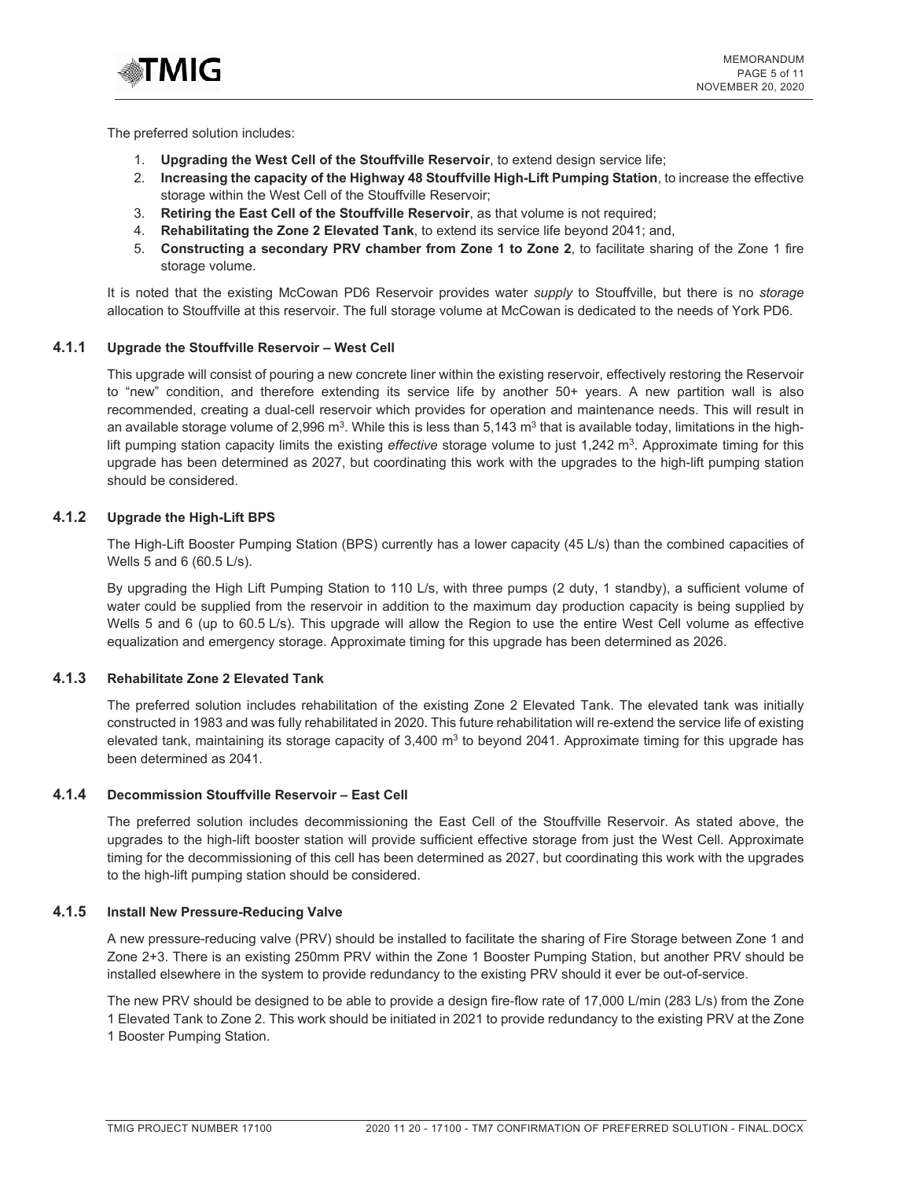

The preferred solution includes:

- 1. **Upgrading the West Cell of the Stouffville Reservoir**, to extend design service life;
- 2. **Increasing the capacity of the Highway 48 Stouffville High-Lift Pumping Station**, to increase the effective storage within the West Cell of the Stouffville Reservoir;
- 3. **Retiring the East Cell of the Stouffville Reservoir**, as that volume is not required;
- 4. **Rehabilitating the Zone 2 Elevated Tank**, to extend its service life beyond 2041; and,
- 5. **Constructing a secondary PRV chamber from Zone 1 to Zone 2**, to facilitate sharing of the Zone 1 fire storage volume.

It is noted that the existing McCowan PD6 Reservoir provides water *supply* to Stouffville, but there is no *storage* allocation to Stouffville at this reservoir. The full storage volume at McCowan is dedicated to the needs of York PD6.

#### **4.1.1 Upgrade the Stouffville Reservoir – West Cell**

This upgrade will consist of pouring a new concrete liner within the existing reservoir, effectively restoring the Reservoir to "new" condition, and therefore extending its service life by another 50+ years. A new partition wall is also recommended, creating a dual-cell reservoir which provides for operation and maintenance needs. This will result in an available storage volume of 2,996 m<sup>3</sup>. While this is less than 5,143 m<sup>3</sup> that is available today, limitations in the highlift pumping station capacity limits the existing *effective* storage volume to just 1,242 m3. Approximate timing for this upgrade has been determined as 2027, but coordinating this work with the upgrades to the high-lift pumping station should be considered.

#### **4.1.2 Upgrade the High-Lift BPS**

The High-Lift Booster Pumping Station (BPS) currently has a lower capacity (45 L/s) than the combined capacities of Wells 5 and 6 (60.5 L/s).

By upgrading the High Lift Pumping Station to 110 L/s, with three pumps (2 duty, 1 standby), a sufficient volume of water could be supplied from the reservoir in addition to the maximum day production capacity is being supplied by Wells 5 and 6 (up to 60.5 L/s). This upgrade will allow the Region to use the entire West Cell volume as effective equalization and emergency storage. Approximate timing for this upgrade has been determined as 2026.

#### **4.1.3 Rehabilitate Zone 2 Elevated Tank**

The preferred solution includes rehabilitation of the existing Zone 2 Elevated Tank. The elevated tank was initially constructed in 1983 and was fully rehabilitated in 2020. This future rehabilitation will re-extend the service life of existing elevated tank, maintaining its storage capacity of  $3,400 \text{ m}^3$  to beyond 2041. Approximate timing for this upgrade has been determined as 2041.

#### **4.1.4 Decommission Stouffville Reservoir – East Cell**

The preferred solution includes decommissioning the East Cell of the Stouffville Reservoir. As stated above, the upgrades to the high-lift booster station will provide sufficient effective storage from just the West Cell. Approximate timing for the decommissioning of this cell has been determined as 2027, but coordinating this work with the upgrades to the high-lift pumping station should be considered.

#### **4.1.5 Install New Pressure-Reducing Valve**

A new pressure-reducing valve (PRV) should be installed to facilitate the sharing of Fire Storage between Zone 1 and Zone 2+3. There is an existing 250mm PRV within the Zone 1 Booster Pumping Station, but another PRV should be installed elsewhere in the system to provide redundancy to the existing PRV should it ever be out-of-service.

The new PRV should be designed to be able to provide a design fire-flow rate of 17,000 L/min (283 L/s) from the Zone 1 Elevated Tank to Zone 2. This work should be initiated in 2021 to provide redundancy to the existing PRV at the Zone 1 Booster Pumping Station.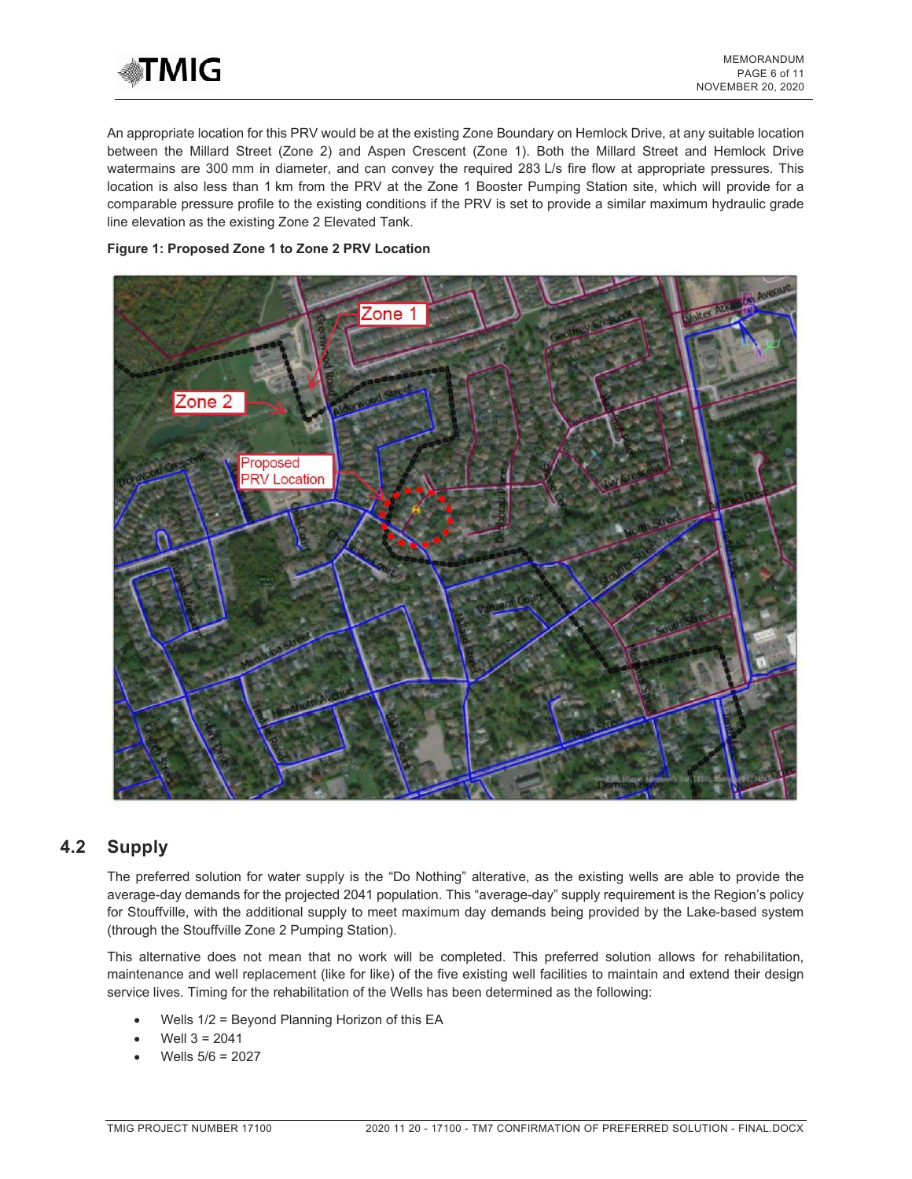

An appropriate location for this PRV would be at the existing Zone Boundary on Hemlock Drive, at any suitable location between the Millard Street (Zone 2) and Aspen Crescent (Zone 1). Both the Millard Street and Hemlock Drive watermains are 300 mm in diameter, and can convey the required 283 L/s fire flow at appropriate pressures. This location is also less than 1 km from the PRV at the Zone 1 Booster Pumping Station site, which will provide for a comparable pressure profile to the existing conditions if the PRV is set to provide a similar maximum hydraulic grade line elevation as the existing Zone 2 Elevated Tank.

#### **Figure 1: Proposed Zone 1 to Zone 2 PRV Location**



## **4.2 Supply**

The preferred solution for water supply is the "Do Nothing" alterative, as the existing wells are able to provide the average-day demands for the projected 2041 population. This "average-day" supply requirement is the Region's policy for Stouffville, with the additional supply to meet maximum day demands being provided by the Lake-based system (through the Stouffville Zone 2 Pumping Station).

This alternative does not mean that no work will be completed. This preferred solution allows for rehabilitation, maintenance and well replacement (like for like) of the five existing well facilities to maintain and extend their design service lives. Timing for the rehabilitation of the Wells has been determined as the following:

- Wells 1/2 = Beyond Planning Horizon of this EA
- Well  $3 = 2041$
- Wells 5/6 = 2027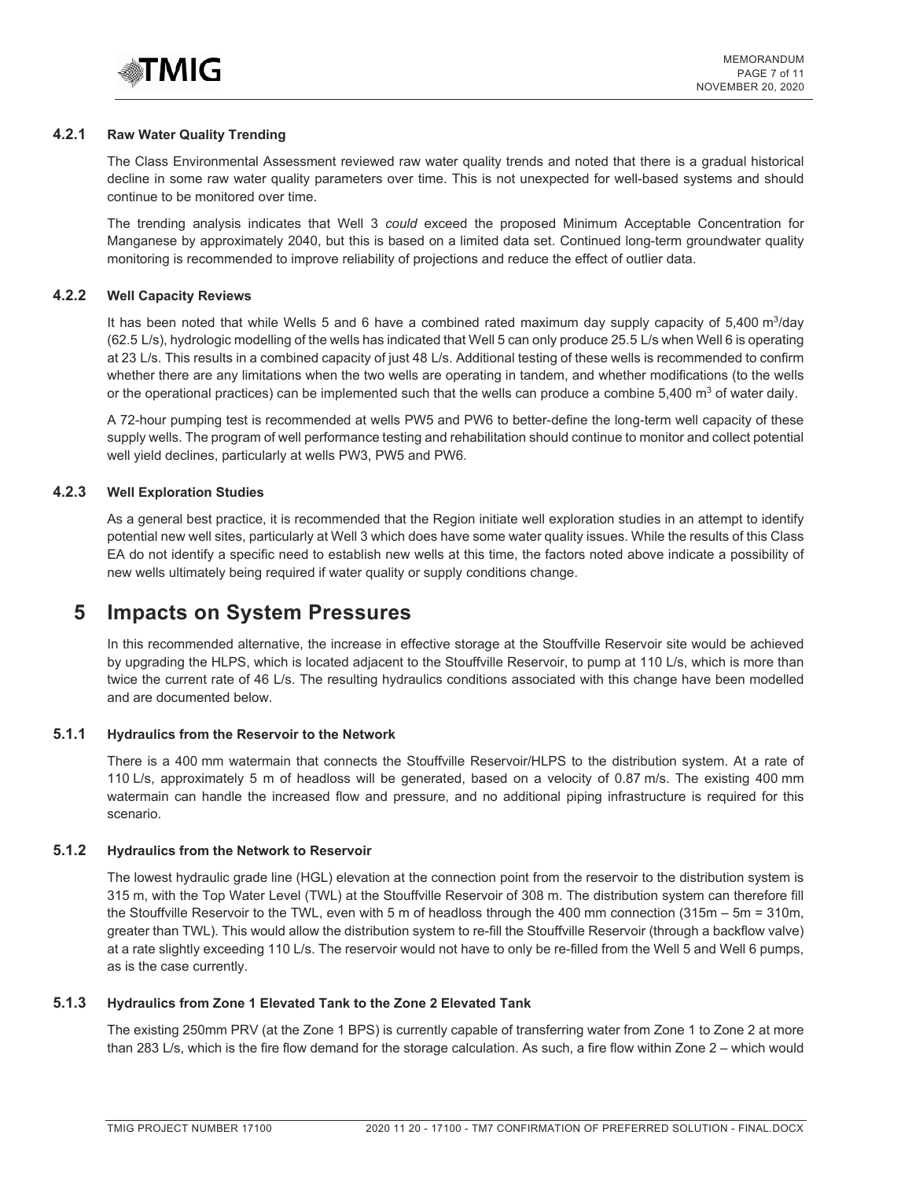

#### **4.2.1 Raw Water Quality Trending**

The Class Environmental Assessment reviewed raw water quality trends and noted that there is a gradual historical decline in some raw water quality parameters over time. This is not unexpected for well-based systems and should continue to be monitored over time.

The trending analysis indicates that Well 3 *could* exceed the proposed Minimum Acceptable Concentration for Manganese by approximately 2040, but this is based on a limited data set. Continued long-term groundwater quality monitoring is recommended to improve reliability of projections and reduce the effect of outlier data.

#### **4.2.2 Well Capacity Reviews**

It has been noted that while Wells 5 and 6 have a combined rated maximum day supply capacity of  $5,400$  m $3$ /day (62.5 L/s), hydrologic modelling of the wells has indicated that Well 5 can only produce 25.5 L/s when Well 6 is operating at 23 L/s. This results in a combined capacity of just 48 L/s. Additional testing of these wells is recommended to confirm whether there are any limitations when the two wells are operating in tandem, and whether modifications (to the wells or the operational practices) can be implemented such that the wells can produce a combine  $5,400 \text{ m}^3$  of water daily.

A 72-hour pumping test is recommended at wells PW5 and PW6 to better-define the long-term well capacity of these supply wells. The program of well performance testing and rehabilitation should continue to monitor and collect potential well yield declines, particularly at wells PW3, PW5 and PW6.

#### **4.2.3 Well Exploration Studies**

As a general best practice, it is recommended that the Region initiate well exploration studies in an attempt to identify potential new well sites, particularly at Well 3 which does have some water quality issues. While the results of this Class EA do not identify a specific need to establish new wells at this time, the factors noted above indicate a possibility of new wells ultimately being required if water quality or supply conditions change.

## **5 Impacts on System Pressures**

In this recommended alternative, the increase in effective storage at the Stouffville Reservoir site would be achieved by upgrading the HLPS, which is located adjacent to the Stouffville Reservoir, to pump at 110 L/s, which is more than twice the current rate of 46 L/s. The resulting hydraulics conditions associated with this change have been modelled and are documented below.

#### **5.1.1 Hydraulics from the Reservoir to the Network**

There is a 400 mm watermain that connects the Stouffville Reservoir/HLPS to the distribution system. At a rate of 110 L/s, approximately 5 m of headloss will be generated, based on a velocity of 0.87 m/s. The existing 400 mm watermain can handle the increased flow and pressure, and no additional piping infrastructure is required for this scenario.

#### **5.1.2 Hydraulics from the Network to Reservoir**

The lowest hydraulic grade line (HGL) elevation at the connection point from the reservoir to the distribution system is 315 m, with the Top Water Level (TWL) at the Stouffville Reservoir of 308 m. The distribution system can therefore fill the Stouffville Reservoir to the TWL, even with 5 m of headloss through the 400 mm connection (315m – 5m = 310m, greater than TWL). This would allow the distribution system to re-fill the Stouffville Reservoir (through a backflow valve) at a rate slightly exceeding 110 L/s. The reservoir would not have to only be re-filled from the Well 5 and Well 6 pumps, as is the case currently.

#### **5.1.3 Hydraulics from Zone 1 Elevated Tank to the Zone 2 Elevated Tank**

The existing 250mm PRV (at the Zone 1 BPS) is currently capable of transferring water from Zone 1 to Zone 2 at more than 283 L/s, which is the fire flow demand for the storage calculation. As such, a fire flow within Zone 2 – which would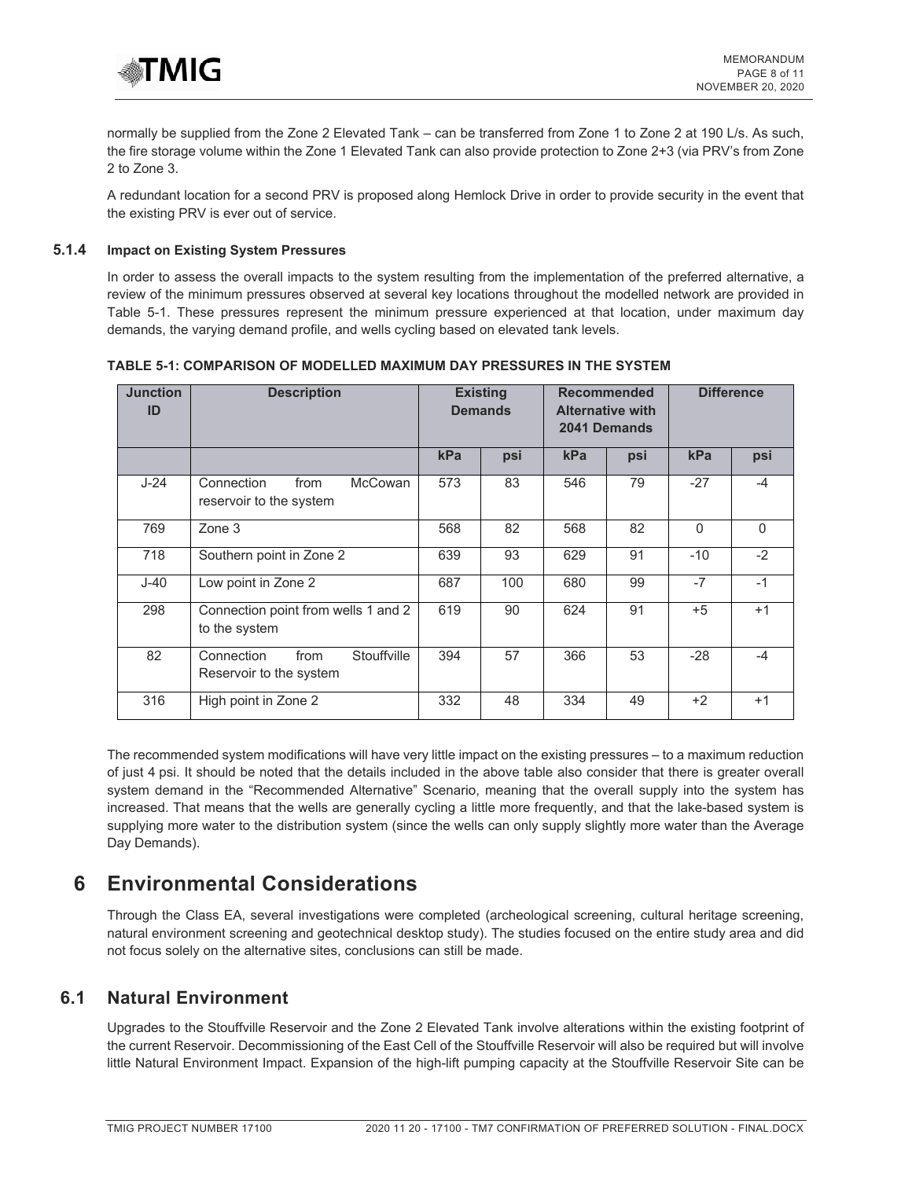

normally be supplied from the Zone 2 Elevated Tank – can be transferred from Zone 1 to Zone 2 at 190 L/s. As such, the fire storage volume within the Zone 1 Elevated Tank can also provide protection to Zone 2+3 (via PRV's from Zone 2 to Zone 3.

A redundant location for a second PRV is proposed along Hemlock Drive in order to provide security in the event that the existing PRV is ever out of service.

#### **5.1.4 Impact on Existing System Pressures**

In order to assess the overall impacts to the system resulting from the implementation of the preferred alternative, a review of the minimum pressures observed at several key locations throughout the modelled network are provided in Table 5-1. These pressures represent the minimum pressure experienced at that location, under maximum day demands, the varying demand profile, and wells cycling based on elevated tank levels.

| <b>Junction</b><br>ID | <b>Description</b>                                              |     | <b>Existing</b><br><b>Demands</b> |     | <b>Recommended</b><br><b>Alternative with</b><br>2041 Demands |          | <b>Difference</b> |
|-----------------------|-----------------------------------------------------------------|-----|-----------------------------------|-----|---------------------------------------------------------------|----------|-------------------|
|                       |                                                                 | kPa | psi                               | kPa | psi                                                           | kPa      | psi               |
| $J-24$                | Connection<br><b>McCowan</b><br>from<br>reservoir to the system | 573 | 83                                | 546 | 79                                                            | $-27$    | $-4$              |
| 769                   | Zone 3                                                          | 568 | 82                                | 568 | 82                                                            | $\Omega$ | $\Omega$          |
| 718                   | Southern point in Zone 2                                        | 639 | 93                                | 629 | 91                                                            | $-10$    | $-2$              |
| $J-40$                | Low point in Zone 2                                             | 687 | 100                               | 680 | 99                                                            | $-7$     | $-1$              |
| 298                   | Connection point from wells 1 and 2<br>to the system            | 619 | 90                                | 624 | 91                                                            | $+5$     | $+1$              |
| 82                    | Stouffville<br>Connection<br>from<br>Reservoir to the system    | 394 | 57                                | 366 | 53                                                            | $-28$    | $-4$              |
| 316                   | High point in Zone 2                                            | 332 | 48                                | 334 | 49                                                            | $+2$     | $+1$              |

#### **TABLE 5-1: COMPARISON OF MODELLED MAXIMUM DAY PRESSURES IN THE SYSTEM**

The recommended system modifications will have very little impact on the existing pressures – to a maximum reduction of just 4 psi. It should be noted that the details included in the above table also consider that there is greater overall system demand in the "Recommended Alternative" Scenario, meaning that the overall supply into the system has increased. That means that the wells are generally cycling a little more frequently, and that the lake-based system is supplying more water to the distribution system (since the wells can only supply slightly more water than the Average Day Demands).

## **6 Environmental Considerations**

Through the Class EA, several investigations were completed (archeological screening, cultural heritage screening, natural environment screening and geotechnical desktop study). The studies focused on the entire study area and did not focus solely on the alternative sites, conclusions can still be made.

## **6.1 Natural Environment**

Upgrades to the Stouffville Reservoir and the Zone 2 Elevated Tank involve alterations within the existing footprint of the current Reservoir. Decommissioning of the East Cell of the Stouffville Reservoir will also be required but will involve little Natural Environment Impact. Expansion of the high-lift pumping capacity at the Stouffville Reservoir Site can be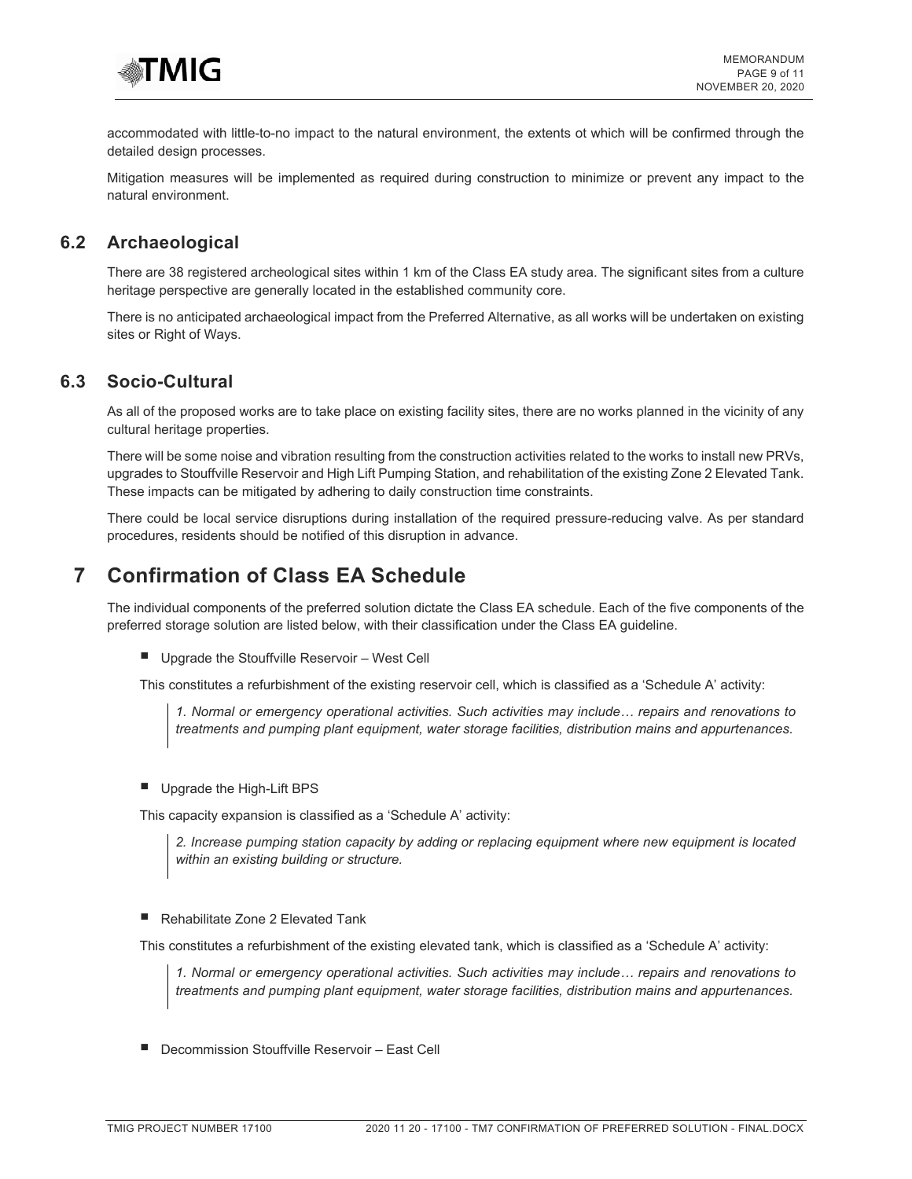

accommodated with little-to-no impact to the natural environment, the extents ot which will be confirmed through the detailed design processes.

Mitigation measures will be implemented as required during construction to minimize or prevent any impact to the natural environment.

### **6.2 Archaeological**

There are 38 registered archeological sites within 1 km of the Class EA study area. The significant sites from a culture heritage perspective are generally located in the established community core.

There is no anticipated archaeological impact from the Preferred Alternative, as all works will be undertaken on existing sites or Right of Ways.

### **6.3 Socio-Cultural**

As all of the proposed works are to take place on existing facility sites, there are no works planned in the vicinity of any cultural heritage properties.

There will be some noise and vibration resulting from the construction activities related to the works to install new PRVs, upgrades to Stouffville Reservoir and High Lift Pumping Station, and rehabilitation of the existing Zone 2 Elevated Tank. These impacts can be mitigated by adhering to daily construction time constraints.

There could be local service disruptions during installation of the required pressure-reducing valve. As per standard procedures, residents should be notified of this disruption in advance.

## **7 Confirmation of Class EA Schedule**

The individual components of the preferred solution dictate the Class EA schedule. Each of the five components of the preferred storage solution are listed below, with their classification under the Class EA guideline.

**Upgrade the Stouffville Reservoir - West Cell** 

This constitutes a refurbishment of the existing reservoir cell, which is classified as a 'Schedule A' activity:

*1. Normal or emergency operational activities. Such activities may include… repairs and renovations to treatments and pumping plant equipment, water storage facilities, distribution mains and appurtenances.* 

**Upgrade the High-Lift BPS** 

This capacity expansion is classified as a 'Schedule A' activity:

*2. Increase pumping station capacity by adding or replacing equipment where new equipment is located within an existing building or structure.* 

■ Rehabilitate Zone 2 Elevated Tank

This constitutes a refurbishment of the existing elevated tank, which is classified as a 'Schedule A' activity:

*1. Normal or emergency operational activities. Such activities may include… repairs and renovations to treatments and pumping plant equipment, water storage facilities, distribution mains and appurtenances.* 

• Decommission Stouffville Reservoir – East Cell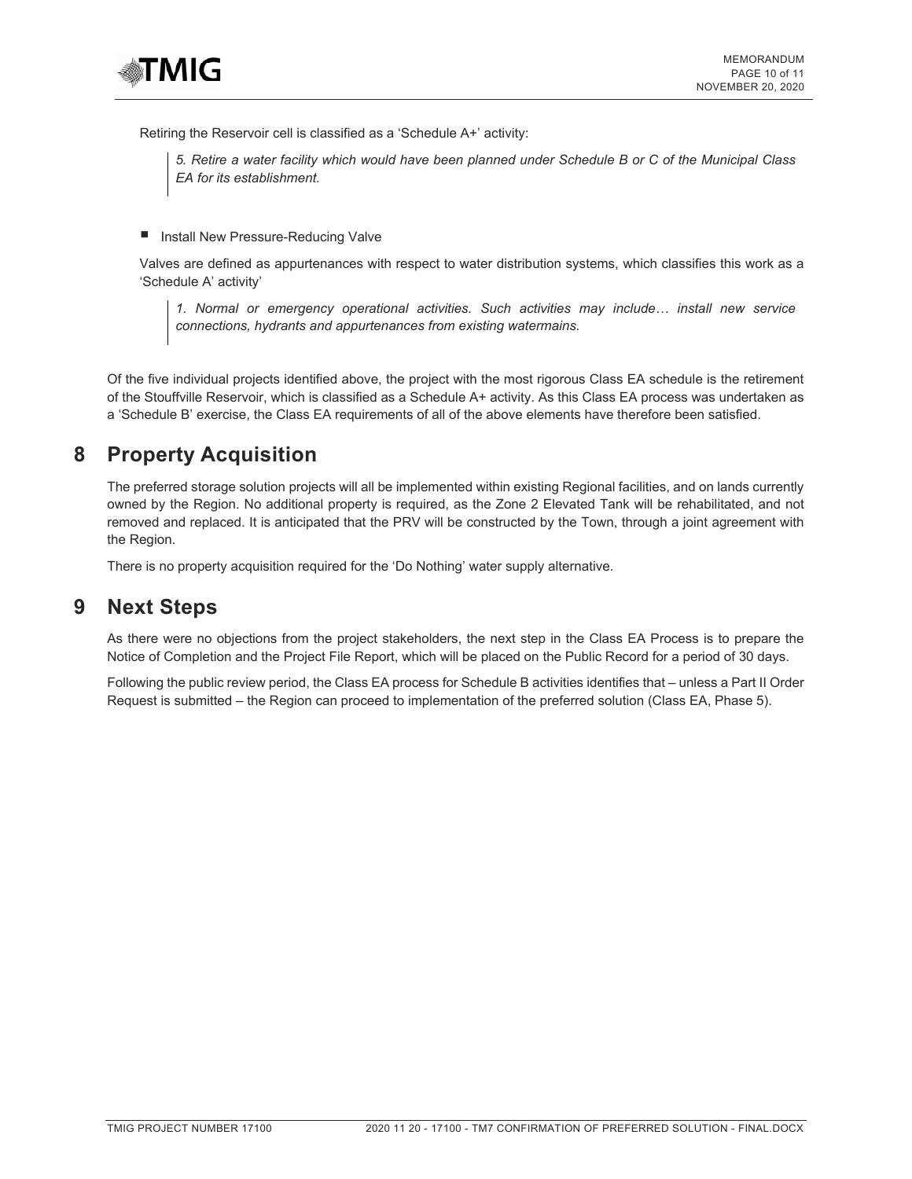

Retiring the Reservoir cell is classified as a 'Schedule A+' activity:

*5. Retire a water facility which would have been planned under Schedule B or C of the Municipal Class EA for its establishment.* 

**• Install New Pressure-Reducing Valve** 

Valves are defined as appurtenances with respect to water distribution systems, which classifies this work as a 'Schedule A' activity'

*1. Normal or emergency operational activities. Such activities may include… install new service connections, hydrants and appurtenances from existing watermains.* 

Of the five individual projects identified above, the project with the most rigorous Class EA schedule is the retirement of the Stouffville Reservoir, which is classified as a Schedule A+ activity. As this Class EA process was undertaken as a 'Schedule B' exercise, the Class EA requirements of all of the above elements have therefore been satisfied.

## **8 Property Acquisition**

The preferred storage solution projects will all be implemented within existing Regional facilities, and on lands currently owned by the Region. No additional property is required, as the Zone 2 Elevated Tank will be rehabilitated, and not removed and replaced. It is anticipated that the PRV will be constructed by the Town, through a joint agreement with the Region.

There is no property acquisition required for the 'Do Nothing' water supply alternative.

## **9 Next Steps**

As there were no objections from the project stakeholders, the next step in the Class EA Process is to prepare the Notice of Completion and the Project File Report, which will be placed on the Public Record for a period of 30 days.

Following the public review period, the Class EA process for Schedule B activities identifies that – unless a Part II Order Request is submitted – the Region can proceed to implementation of the preferred solution (Class EA, Phase 5).